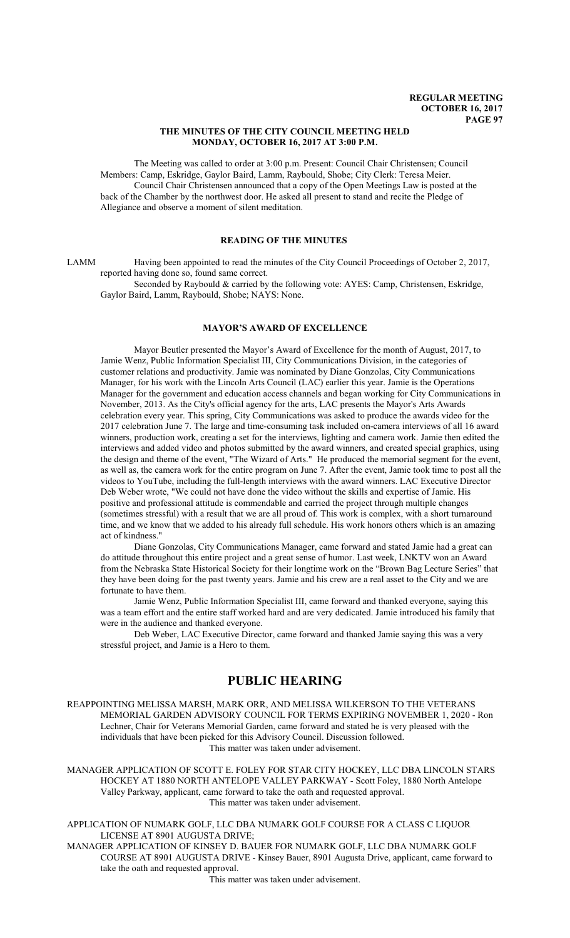### **THE MINUTES OF THE CITY COUNCIL MEETING HELD MONDAY, OCTOBER 16, 2017 AT 3:00 P.M.**

The Meeting was called to order at 3:00 p.m. Present: Council Chair Christensen; Council Members: Camp, Eskridge, Gaylor Baird, Lamm, Raybould, Shobe; City Clerk: Teresa Meier. Council Chair Christensen announced that a copy of the Open Meetings Law is posted at the back of the Chamber by the northwest door. He asked all present to stand and recite the Pledge of Allegiance and observe a moment of silent meditation.

# **READING OF THE MINUTES**

LAMM Having been appointed to read the minutes of the City Council Proceedings of October 2, 2017, reported having done so, found same correct.

Seconded by Raybould & carried by the following vote: AYES: Camp, Christensen, Eskridge, Gaylor Baird, Lamm, Raybould, Shobe; NAYS: None.

### **MAYOR'S AWARD OF EXCELLENCE**

Mayor Beutler presented the Mayor's Award of Excellence for the month of August, 2017, to Jamie Wenz, Public Information Specialist III, City Communications Division, in the categories of customer relations and productivity. Jamie was nominated by Diane Gonzolas, City Communications Manager, for his work with the Lincoln Arts Council (LAC) earlier this year. Jamie is the Operations Manager for the government and education access channels and began working for City Communications in November, 2013. As the City's official agency for the arts, LAC presents the Mayor's Arts Awards celebration every year. This spring, City Communications was asked to produce the awards video for the 2017 celebration June 7. The large and time-consuming task included on-camera interviews of all 16 award winners, production work, creating a set for the interviews, lighting and camera work. Jamie then edited the interviews and added video and photos submitted by the award winners, and created special graphics, using the design and theme of the event, "The Wizard of Arts." He produced the memorial segment for the event, as well as, the camera work for the entire program on June 7. After the event, Jamie took time to post all the videos to YouTube, including the full-length interviews with the award winners. LAC Executive Director Deb Weber wrote, "We could not have done the video without the skills and expertise of Jamie. His positive and professional attitude is commendable and carried the project through multiple changes (sometimes stressful) with a result that we are all proud of. This work is complex, with a short turnaround time, and we know that we added to his already full schedule. His work honors others which is an amazing act of kindness."

Diane Gonzolas, City Communications Manager, came forward and stated Jamie had a great can do attitude throughout this entire project and a great sense of humor. Last week, LNKTV won an Award from the Nebraska State Historical Society for their longtime work on the "Brown Bag Lecture Series" that they have been doing for the past twenty years. Jamie and his crew are a real asset to the City and we are fortunate to have them.

Jamie Wenz, Public Information Specialist III, came forward and thanked everyone, saying this was a team effort and the entire staff worked hard and are very dedicated. Jamie introduced his family that were in the audience and thanked everyone.

Deb Weber, LAC Executive Director, came forward and thanked Jamie saying this was a very stressful project, and Jamie is a Hero to them.

# **PUBLIC HEARING**

REAPPOINTING MELISSA MARSH, MARK ORR, AND MELISSA WILKERSON TO THE VETERANS MEMORIAL GARDEN ADVISORY COUNCIL FOR TERMS EXPIRING NOVEMBER 1, 2020 - Ron Lechner, Chair for Veterans Memorial Garden, came forward and stated he is very pleased with the individuals that have been picked for this Advisory Council. Discussion followed. This matter was taken under advisement.

MANAGER APPLICATION OF SCOTT E. FOLEY FOR STAR CITY HOCKEY, LLC DBA LINCOLN STARS HOCKEY AT 1880 NORTH ANTELOPE VALLEY PARKWAY - Scott Foley, 1880 North Antelope Valley Parkway, applicant, came forward to take the oath and requested approval. This matter was taken under advisement.

APPLICATION OF NUMARK GOLF, LLC DBA NUMARK GOLF COURSE FOR A CLASS C LIQUOR LICENSE AT 8901 AUGUSTA DRIVE;

MANAGER APPLICATION OF KINSEY D. BAUER FOR NUMARK GOLF, LLC DBA NUMARK GOLF COURSE AT 8901 AUGUSTA DRIVE - Kinsey Bauer, 8901 Augusta Drive, applicant, came forward to take the oath and requested approval.

This matter was taken under advisement.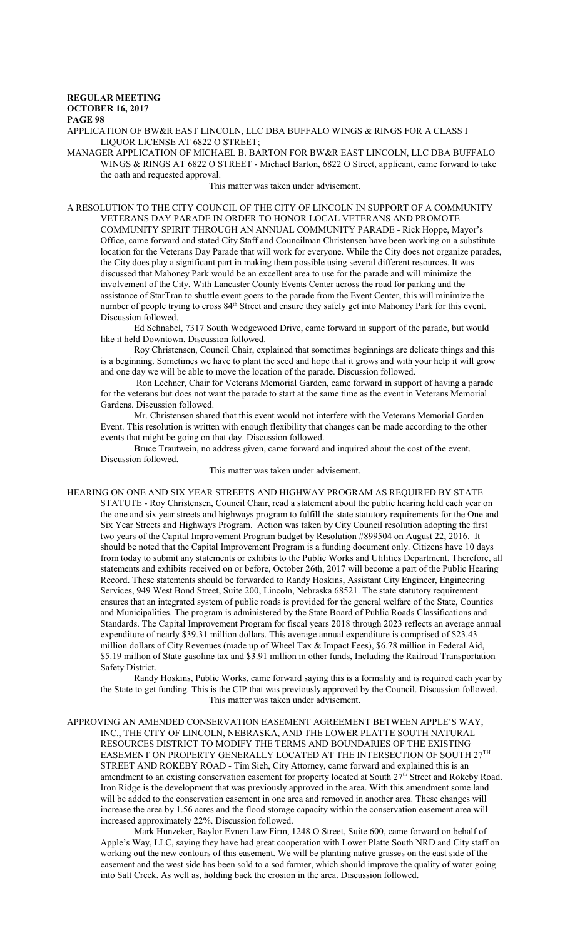# **REGULAR MEETING OCTOBER 16, 2017**

**PAGE 98**

APPLICATION OF BW&R EAST LINCOLN, LLC DBA BUFFALO WINGS & RINGS FOR A CLASS I LIQUOR LICENSE AT 6822 O STREET;

MANAGER APPLICATION OF MICHAEL B. BARTON FOR BW&R EAST LINCOLN, LLC DBA BUFFALO WINGS & RINGS AT 6822 O STREET - Michael Barton, 6822 O Street, applicant, came forward to take the oath and requested approval.

### This matter was taken under advisement.

A RESOLUTION TO THE CITY COUNCIL OF THE CITY OF LINCOLN IN SUPPORT OF A COMMUNITY VETERANS DAY PARADE IN ORDER TO HONOR LOCAL VETERANS AND PROMOTE COMMUNITY SPIRIT THROUGH AN ANNUAL COMMUNITY PARADE - Rick Hoppe, Mayor's Office, came forward and stated City Staff and Councilman Christensen have been working on a substitute location for the Veterans Day Parade that will work for everyone. While the City does not organize parades, the City does play a significant part in making them possible using several different resources. It was discussed that Mahoney Park would be an excellent area to use for the parade and will minimize the involvement of the City. With Lancaster County Events Center across the road for parking and the assistance of StarTran to shuttle event goers to the parade from the Event Center, this will minimize the number of people trying to cross 84<sup>th</sup> Street and ensure they safely get into Mahoney Park for this event. Discussion followed.

Ed Schnabel, 7317 South Wedgewood Drive, came forward in support of the parade, but would like it held Downtown. Discussion followed.

Roy Christensen, Council Chair, explained that sometimes beginnings are delicate things and this is a beginning. Sometimes we have to plant the seed and hope that it grows and with your help it will grow and one day we will be able to move the location of the parade. Discussion followed.

 Ron Lechner, Chair for Veterans Memorial Garden, came forward in support of having a parade for the veterans but does not want the parade to start at the same time as the event in Veterans Memorial Gardens. Discussion followed.

Mr. Christensen shared that this event would not interfere with the Veterans Memorial Garden Event. This resolution is written with enough flexibility that changes can be made according to the other events that might be going on that day. Discussion followed.

Bruce Trautwein, no address given, came forward and inquired about the cost of the event. Discussion followed.

This matter was taken under advisement.

HEARING ON ONE AND SIX YEAR STREETS AND HIGHWAY PROGRAM AS REQUIRED BY STATE STATUTE - Roy Christensen, Council Chair, read a statement about the public hearing held each year on the one and six year streets and highways program to fulfill the state statutory requirements for the One and Six Year Streets and Highways Program. Action was taken by City Council resolution adopting the first two years of the Capital Improvement Program budget by Resolution #899504 on August 22, 2016. It should be noted that the Capital Improvement Program is a funding document only. Citizens have 10 days from today to submit any statements or exhibits to the Public Works and Utilities Department. Therefore, all statements and exhibits received on or before, October 26th, 2017 will become a part of the Public Hearing Record. These statements should be forwarded to Randy Hoskins, Assistant City Engineer, Engineering Services, 949 West Bond Street, Suite 200, Lincoln, Nebraska 68521. The state statutory requirement ensures that an integrated system of public roads is provided for the general welfare of the State, Counties and Municipalities. The program is administered by the State Board of Public Roads Classifications and Standards. The Capital Improvement Program for fiscal years 2018 through 2023 reflects an average annual expenditure of nearly \$39.31 million dollars. This average annual expenditure is comprised of \$23.43 million dollars of City Revenues (made up of Wheel Tax & Impact Fees), \$6.78 million in Federal Aid, \$5.19 million of State gasoline tax and \$3.91 million in other funds, Including the Railroad Transportation Safety District.

Randy Hoskins, Public Works, came forward saying this is a formality and is required each year by the State to get funding. This is the CIP that was previously approved by the Council. Discussion followed. This matter was taken under advisement.

APPROVING AN AMENDED CONSERVATION EASEMENT AGREEMENT BETWEEN APPLE'S WAY, INC., THE CITY OF LINCOLN, NEBRASKA, AND THE LOWER PLATTE SOUTH NATURAL RESOURCES DISTRICT TO MODIFY THE TERMS AND BOUNDARIES OF THE EXISTING EASEMENT ON PROPERTY GENERALLY LOCATED AT THE INTERSECTION OF SOUTH  $27^{\rm{TH}}$ STREET AND ROKEBY ROAD - Tim Sieh, City Attorney, came forward and explained this is an amendment to an existing conservation easement for property located at South 27<sup>th</sup> Street and Rokeby Road. Iron Ridge is the development that was previously approved in the area. With this amendment some land will be added to the conservation easement in one area and removed in another area. These changes will increase the area by 1.56 acres and the flood storage capacity within the conservation easement area will increased approximately 22%. Discussion followed.

Mark Hunzeker, Baylor Evnen Law Firm, 1248 O Street, Suite 600, came forward on behalf of Apple's Way, LLC, saying they have had great cooperation with Lower Platte South NRD and City staff on working out the new contours of this easement. We will be planting native grasses on the east side of the easement and the west side has been sold to a sod farmer, which should improve the quality of water going into Salt Creek. As well as, holding back the erosion in the area. Discussion followed.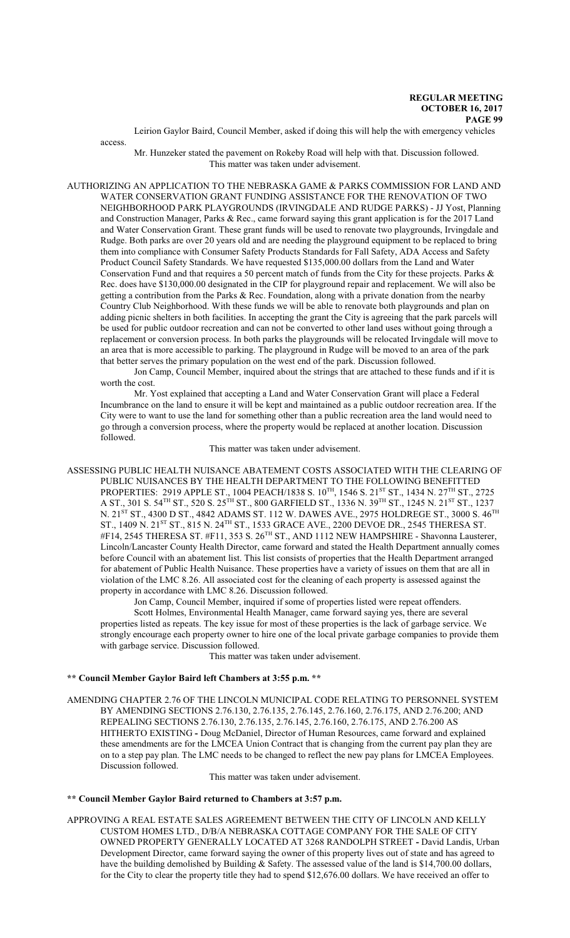Leirion Gaylor Baird, Council Member, asked if doing this will help the with emergency vehicles

access.

Mr. Hunzeker stated the pavement on Rokeby Road will help with that. Discussion followed. This matter was taken under advisement.

AUTHORIZING AN APPLICATION TO THE NEBRASKA GAME & PARKS COMMISSION FOR LAND AND WATER CONSERVATION GRANT FUNDING ASSISTANCE FOR THE RENOVATION OF TWO NEIGHBORHOOD PARK PLAYGROUNDS (IRVINGDALE AND RUDGE PARKS) - JJ Yost, Planning and Construction Manager, Parks & Rec., came forward saying this grant application is for the 2017 Land and Water Conservation Grant. These grant funds will be used to renovate two playgrounds, Irvingdale and Rudge. Both parks are over 20 years old and are needing the playground equipment to be replaced to bring them into compliance with Consumer Safety Products Standards for Fall Safety, ADA Access and Safety Product Council Safety Standards. We have requested \$135,000.00 dollars from the Land and Water Conservation Fund and that requires a 50 percent match of funds from the City for these projects. Parks & Rec. does have \$130,000.00 designated in the CIP for playground repair and replacement. We will also be getting a contribution from the Parks & Rec. Foundation, along with a private donation from the nearby Country Club Neighborhood. With these funds we will be able to renovate both playgrounds and plan on adding picnic shelters in both facilities. In accepting the grant the City is agreeing that the park parcels will be used for public outdoor recreation and can not be converted to other land uses without going through a replacement or conversion process. In both parks the playgrounds will be relocated Irvingdale will move to an area that is more accessible to parking. The playground in Rudge will be moved to an area of the park that better serves the primary population on the west end of the park. Discussion followed.

Jon Camp, Council Member, inquired about the strings that are attached to these funds and if it is worth the cost.

Mr. Yost explained that accepting a Land and Water Conservation Grant will place a Federal Incumbrance on the land to ensure it will be kept and maintained as a public outdoor recreation area. If the City were to want to use the land for something other than a public recreation area the land would need to go through a conversion process, where the property would be replaced at another location. Discussion followed.

This matter was taken under advisement.

ASSESSING PUBLIC HEALTH NUISANCE ABATEMENT COSTS ASSOCIATED WITH THE CLEARING OF PUBLIC NUISANCES BY THE HEALTH DEPARTMENT TO THE FOLLOWING BENEFITTED PROPERTIES: 2919 APPLE ST., 1004 PEACH/1838 S. 10 $^{\text{TH}}$ , 1546 S. 21 $^{\text{ST}}$  ST., 1434 N. 27 $^{\text{TH}}$  ST., 2725 A ST., 301 S. 54 $^{\rm TH}$  ST., 520 S. 25 $^{\rm TH}$  ST., 800 GARFIELD ST., 1336 N. 39 $^{\rm TH}$  ST., 1245 N. 21 $^{\rm ST}$  ST., 1237 N. 21 $^{\rm{ST}}$  ST., 4300 D ST., 4842 ADAMS ST. 112 W. DAWES AVE., 2975 HOLDREGE ST., 3000 S. 46 $^{\rm{TH}}$ ST., 1409 N. 21<sup>st</sup> ST., 815 N. 24<sup>th</sup> ST., 1533 GRACE AVE., 2200 DEVOE DR., 2545 THERESA ST. #F14, 2545 THERESA ST. #F11, 353 S. 26<sup>th</sup> ST., AND 1112 NEW HAMPSHIRE - Shavonna Lausterer, Lincoln/Lancaster County Health Director, came forward and stated the Health Department annually comes before Council with an abatement list. This list consists of properties that the Health Department arranged for abatement of Public Health Nuisance. These properties have a variety of issues on them that are all in violation of the LMC 8.26. All associated cost for the cleaning of each property is assessed against the property in accordance with LMC 8.26. Discussion followed.

Jon Camp, Council Member, inquired if some of properties listed were repeat offenders. Scott Holmes, Environmental Health Manager, came forward saying yes, there are several properties listed as repeats. The key issue for most of these properties is the lack of garbage service. We strongly encourage each property owner to hire one of the local private garbage companies to provide them with garbage service. Discussion followed.

This matter was taken under advisement.

### **\*\* Council Member Gaylor Baird left Chambers at 3:55 p.m. \*\***

AMENDING CHAPTER 2.76 OF THE LINCOLN MUNICIPAL CODE RELATING TO PERSONNEL SYSTEM BY AMENDING SECTIONS 2.76.130, 2.76.135, 2.76.145, 2.76.160, 2.76.175, AND 2.76.200; AND REPEALING SECTIONS 2.76.130, 2.76.135, 2.76.145, 2.76.160, 2.76.175, AND 2.76.200 AS HITHERTO EXISTING **-** Doug McDaniel, Director of Human Resources, came forward and explained these amendments are for the LMCEA Union Contract that is changing from the current pay plan they are on to a step pay plan. The LMC needs to be changed to reflect the new pay plans for LMCEA Employees. Discussion followed.

This matter was taken under advisement.

**\*\* Council Member Gaylor Baird returned to Chambers at 3:57 p.m.**

APPROVING A REAL ESTATE SALES AGREEMENT BETWEEN THE CITY OF LINCOLN AND KELLY CUSTOM HOMES LTD., D/B/A NEBRASKA COTTAGE COMPANY FOR THE SALE OF CITY OWNED PROPERTY GENERALLY LOCATED AT 3268 RANDOLPH STREET **-** David Landis, Urban Development Director, came forward saying the owner of this property lives out of state and has agreed to have the building demolished by Building & Safety. The assessed value of the land is \$14,700.00 dollars, for the City to clear the property title they had to spend \$12,676.00 dollars. We have received an offer to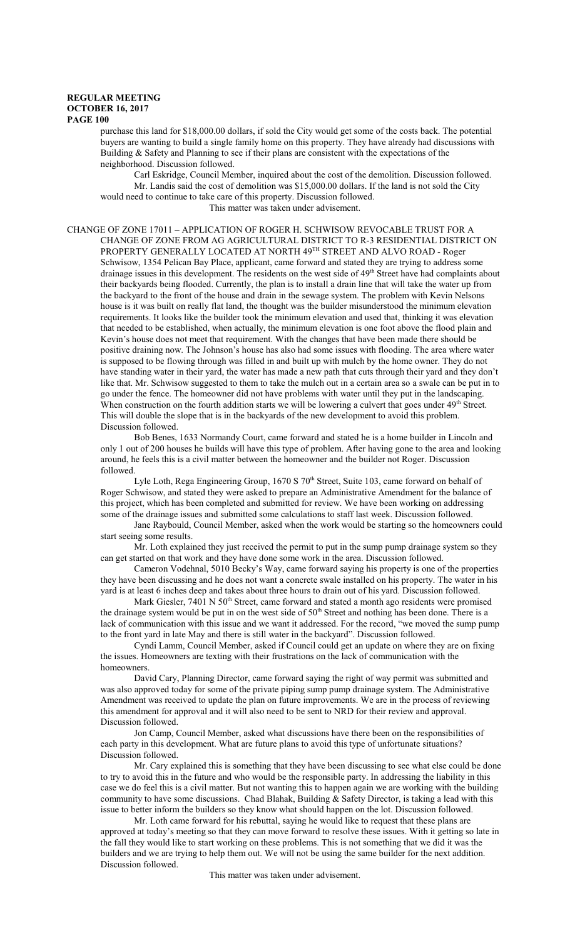purchase this land for \$18,000.00 dollars, if sold the City would get some of the costs back. The potential buyers are wanting to build a single family home on this property. They have already had discussions with Building & Safety and Planning to see if their plans are consistent with the expectations of the neighborhood. Discussion followed.

Carl Eskridge, Council Member, inquired about the cost of the demolition. Discussion followed. Mr. Landis said the cost of demolition was \$15,000.00 dollars. If the land is not sold the City would need to continue to take care of this property. Discussion followed.

This matter was taken under advisement.

CHANGE OF ZONE 17011 – APPLICATION OF ROGER H. SCHWISOW REVOCABLE TRUST FOR A CHANGE OF ZONE FROM AG AGRICULTURAL DISTRICT TO R-3 RESIDENTIAL DISTRICT ON PROPERTY GENERALLY LOCATED AT NORTH 49<sup>th</sup> STREET AND ALVO ROAD - Roger Schwisow, 1354 Pelican Bay Place, applicant, came forward and stated they are trying to address some drainage issues in this development. The residents on the west side of 49<sup>th</sup> Street have had complaints about their backyards being flooded. Currently, the plan is to install a drain line that will take the water up from the backyard to the front of the house and drain in the sewage system. The problem with Kevin Nelsons house is it was built on really flat land, the thought was the builder misunderstood the minimum elevation requirements. It looks like the builder took the minimum elevation and used that, thinking it was elevation that needed to be established, when actually, the minimum elevation is one foot above the flood plain and Kevin's house does not meet that requirement. With the changes that have been made there should be positive draining now. The Johnson's house has also had some issues with flooding. The area where water is supposed to be flowing through was filled in and built up with mulch by the home owner. They do not have standing water in their yard, the water has made a new path that cuts through their yard and they don't like that. Mr. Schwisow suggested to them to take the mulch out in a certain area so a swale can be put in to go under the fence. The homeowner did not have problems with water until they put in the landscaping. When construction on the fourth addition starts we will be lowering a culvert that goes under 49<sup>th</sup> Street. This will double the slope that is in the backyards of the new development to avoid this problem. Discussion followed.

Bob Benes, 1633 Normandy Court, came forward and stated he is a home builder in Lincoln and only 1 out of 200 houses he builds will have this type of problem. After having gone to the area and looking around, he feels this is a civil matter between the homeowner and the builder not Roger. Discussion followed.

Lyle Loth, Rega Engineering Group, 1670 S 70<sup>th</sup> Street, Suite 103, came forward on behalf of Roger Schwisow, and stated they were asked to prepare an Administrative Amendment for the balance of this project, which has been completed and submitted for review. We have been working on addressing some of the drainage issues and submitted some calculations to staff last week. Discussion followed.

Jane Raybould, Council Member, asked when the work would be starting so the homeowners could start seeing some results.

Mr. Loth explained they just received the permit to put in the sump pump drainage system so they can get started on that work and they have done some work in the area. Discussion followed.

Cameron Vodehnal, 5010 Becky's Way, came forward saying his property is one of the properties they have been discussing and he does not want a concrete swale installed on his property. The water in his yard is at least 6 inches deep and takes about three hours to drain out of his yard. Discussion followed.

Mark Giesler, 7401 N 50<sup>th</sup> Street, came forward and stated a month ago residents were promised the drainage system would be put in on the west side of 50<sup>th</sup> Street and nothing has been done. There is a lack of communication with this issue and we want it addressed. For the record, "we moved the sump pump to the front yard in late May and there is still water in the backyard". Discussion followed.

Cyndi Lamm, Council Member, asked if Council could get an update on where they are on fixing the issues. Homeowners are texting with their frustrations on the lack of communication with the homeowners.

David Cary, Planning Director, came forward saying the right of way permit was submitted and was also approved today for some of the private piping sump pump drainage system. The Administrative Amendment was received to update the plan on future improvements. We are in the process of reviewing this amendment for approval and it will also need to be sent to NRD for their review and approval. Discussion followed.

Jon Camp, Council Member, asked what discussions have there been on the responsibilities of each party in this development. What are future plans to avoid this type of unfortunate situations? Discussion followed.

Mr. Cary explained this is something that they have been discussing to see what else could be done to try to avoid this in the future and who would be the responsible party. In addressing the liability in this case we do feel this is a civil matter. But not wanting this to happen again we are working with the building community to have some discussions. Chad Blahak, Building & Safety Director, is taking a lead with this issue to better inform the builders so they know what should happen on the lot. Discussion followed.

Mr. Loth came forward for his rebuttal, saying he would like to request that these plans are approved at today's meeting so that they can move forward to resolve these issues. With it getting so late in the fall they would like to start working on these problems. This is not something that we did it was the builders and we are trying to help them out. We will not be using the same builder for the next addition. Discussion followed.

This matter was taken under advisement.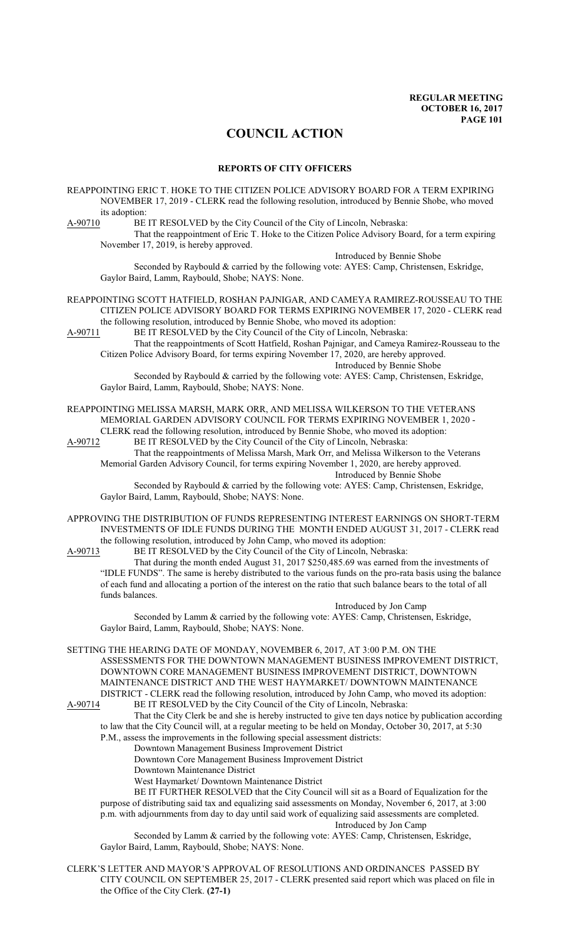# **COUNCIL ACTION**

#### **REPORTS OF CITY OFFICERS**

REAPPOINTING ERIC T. HOKE TO THE CITIZEN POLICE ADVISORY BOARD FOR A TERM EXPIRING NOVEMBER 17, 2019 - CLERK read the following resolution, introduced by Bennie Shobe, who moved its adoption:<br>A-90710 BE

BE IT RESOLVED by the City Council of the City of Lincoln, Nebraska:

That the reappointment of Eric T. Hoke to the Citizen Police Advisory Board, for a term expiring November 17, 2019, is hereby approved.

Introduced by Bennie Shobe

Seconded by Raybould & carried by the following vote: AYES: Camp, Christensen, Eskridge, Gaylor Baird, Lamm, Raybould, Shobe; NAYS: None.

### REAPPOINTING SCOTT HATFIELD, ROSHAN PAJNIGAR, AND CAMEYA RAMIREZ-ROUSSEAU TO THE CITIZEN POLICE ADVISORY BOARD FOR TERMS EXPIRING NOVEMBER 17, 2020 - CLERK read the following resolution, introduced by Bennie Shobe, who moved its adoption:

A-90711 BE IT RESOLVED by the City Council of the City of Lincoln, Nebraska:

That the reappointments of Scott Hatfield, Roshan Pajnigar, and Cameya Ramirez-Rousseau to the Citizen Police Advisory Board, for terms expiring November 17, 2020, are hereby approved. Introduced by Bennie Shobe

Seconded by Raybould & carried by the following vote: AYES: Camp, Christensen, Eskridge, Gaylor Baird, Lamm, Raybould, Shobe; NAYS: None.

# REAPPOINTING MELISSA MARSH, MARK ORR, AND MELISSA WILKERSON TO THE VETERANS MEMORIAL GARDEN ADVISORY COUNCIL FOR TERMS EXPIRING NOVEMBER 1, 2020 -

CLERK read the following resolution, introduced by Bennie Shobe, who moved its adoption:<br>A-90712 BE IT RESOLVED by the City Council of the City of Lincoln, Nebraska: BE IT RESOLVED by the City Council of the City of Lincoln, Nebraska:

That the reappointments of Melissa Marsh, Mark Orr, and Melissa Wilkerson to the Veterans Memorial Garden Advisory Council, for terms expiring November 1, 2020, are hereby approved. Introduced by Bennie Shobe

Seconded by Raybould & carried by the following vote: AYES: Camp, Christensen, Eskridge, Gaylor Baird, Lamm, Raybould, Shobe; NAYS: None.

APPROVING THE DISTRIBUTION OF FUNDS REPRESENTING INTEREST EARNINGS ON SHORT-TERM INVESTMENTS OF IDLE FUNDS DURING THE MONTH ENDED AUGUST 31, 2017 - CLERK read the following resolution, introduced by John Camp, who moved its adoption:

A-90713 BE IT RESOLVED by the City Council of the City of Lincoln, Nebraska:

That during the month ended August 31, 2017 \$250,485.69 was earned from the investments of "IDLE FUNDS". The same is hereby distributed to the various funds on the pro-rata basis using the balance of each fund and allocating a portion of the interest on the ratio that such balance bears to the total of all funds balances.

Introduced by Jon Camp

Seconded by Lamm & carried by the following vote: AYES: Camp, Christensen, Eskridge, Gaylor Baird, Lamm, Raybould, Shobe; NAYS: None.

SETTING THE HEARING DATE OF MONDAY, NOVEMBER 6, 2017, AT 3:00 P.M. ON THE ASSESSMENTS FOR THE DOWNTOWN MANAGEMENT BUSINESS IMPROVEMENT DISTRICT, DOWNTOWN CORE MANAGEMENT BUSINESS IMPROVEMENT DISTRICT, DOWNTOWN MAINTENANCE DISTRICT AND THE WEST HAYMARKET/ DOWNTOWN MAINTENANCE DISTRICT - CLERK read the following resolution, introduced by John Camp, who moved its adoption:

A-90714 BE IT RESOLVED by the City Council of the City of Lincoln, Nebraska: That the City Clerk be and she is hereby instructed to give ten days notice by publication according to law that the City Council will, at a regular meeting to be held on Monday, October 30, 2017, at 5:30 P.M., assess the improvements in the following special assessment districts:

Downtown Management Business Improvement District

Downtown Core Management Business Improvement District

Downtown Maintenance District

West Haymarket/ Downtown Maintenance District

BE IT FURTHER RESOLVED that the City Council will sit as a Board of Equalization for the purpose of distributing said tax and equalizing said assessments on Monday, November 6, 2017, at 3:00 p.m. with adjournments from day to day until said work of equalizing said assessments are completed. Introduced by Jon Camp

Seconded by Lamm & carried by the following vote: AYES: Camp, Christensen, Eskridge, Gaylor Baird, Lamm, Raybould, Shobe; NAYS: None.

CLERK'S LETTER AND MAYOR'S APPROVAL OF RESOLUTIONS AND ORDINANCES PASSED BY CITY COUNCIL ON SEPTEMBER 25, 2017 - CLERK presented said report which was placed on file in the Office of the City Clerk. **(27-1)**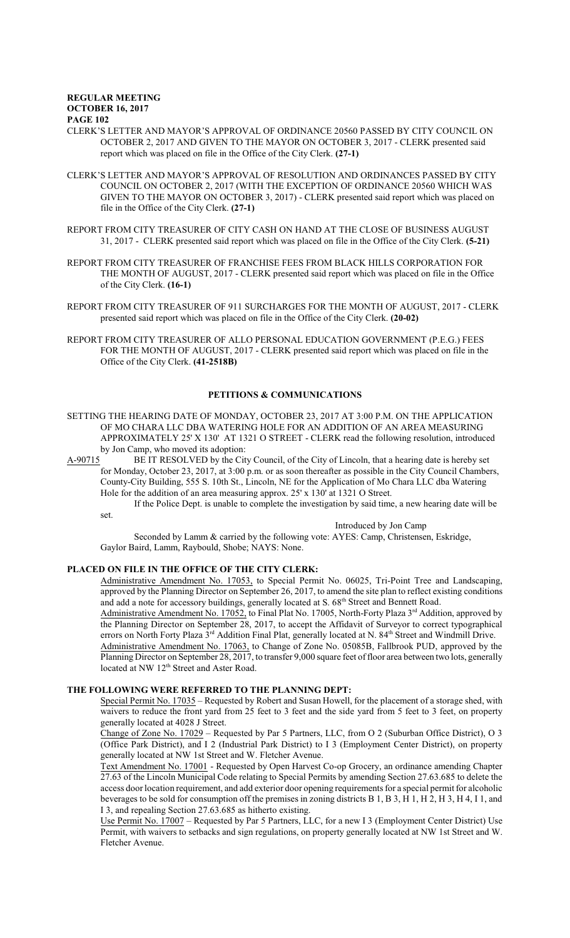- CLERK'S LETTER AND MAYOR'S APPROVAL OF ORDINANCE 20560 PASSED BY CITY COUNCIL ON OCTOBER 2, 2017 AND GIVEN TO THE MAYOR ON OCTOBER 3, 2017 - CLERK presented said report which was placed on file in the Office of the City Clerk. **(27-1)**
- CLERK'S LETTER AND MAYOR'S APPROVAL OF RESOLUTION AND ORDINANCES PASSED BY CITY COUNCIL ON OCTOBER 2, 2017 (WITH THE EXCEPTION OF ORDINANCE 20560 WHICH WAS GIVEN TO THE MAYOR ON OCTOBER 3, 2017) - CLERK presented said report which was placed on file in the Office of the City Clerk. **(27-1)**
- REPORT FROM CITY TREASURER OF CITY CASH ON HAND AT THE CLOSE OF BUSINESS AUGUST 31, 2017 - CLERK presented said report which was placed on file in the Office of the City Clerk. **(5-21)**
- REPORT FROM CITY TREASURER OF FRANCHISE FEES FROM BLACK HILLS CORPORATION FOR THE MONTH OF AUGUST, 2017 - CLERK presented said report which was placed on file in the Office of the City Clerk. **(16-1)**
- REPORT FROM CITY TREASURER OF 911 SURCHARGES FOR THE MONTH OF AUGUST, 2017 CLERK presented said report which was placed on file in the Office of the City Clerk. **(20-02)**
- REPORT FROM CITY TREASURER OF ALLO PERSONAL EDUCATION GOVERNMENT (P.E.G.) FEES FOR THE MONTH OF AUGUST, 2017 - CLERK presented said report which was placed on file in the Office of the City Clerk. **(41-2518B)**

# **PETITIONS & COMMUNICATIONS**

- SETTING THE HEARING DATE OF MONDAY, OCTOBER 23, 2017 AT 3:00 P.M. ON THE APPLICATION OF MO CHARA LLC DBA WATERING HOLE FOR AN ADDITION OF AN AREA MEASURING APPROXIMATELY 25' X 130' AT 1321 O STREET - CLERK read the following resolution, introduced
- by Jon Camp, who moved its adoption:<br>A-90715 BE IT RESOLVED by the Cit BE IT RESOLVED by the City Council, of the City of Lincoln, that a hearing date is hereby set for Monday, October 23, 2017, at 3:00 p.m. or as soon thereafter as possible in the City Council Chambers, County-City Building, 555 S. 10th St., Lincoln, NE for the Application of Mo Chara LLC dba Watering Hole for the addition of an area measuring approx. 25' x 130' at 1321 O Street.
	- If the Police Dept. is unable to complete the investigation by said time, a new hearing date will be set.

Introduced by Jon Camp

Seconded by Lamm & carried by the following vote: AYES: Camp, Christensen, Eskridge, Gaylor Baird, Lamm, Raybould, Shobe; NAYS: None.

### **PLACED ON FILE IN THE OFFICE OF THE CITY CLERK:**

Administrative Amendment No. 17053, to Special Permit No. 06025, Tri-Point Tree and Landscaping, approved by the Planning Director on September 26, 2017, to amend the site plan to reflect existing conditions and add a note for accessory buildings, generally located at S. 68<sup>th</sup> Street and Bennett Road.

Administrative Amendment No. 17052, to Final Plat No. 17005, North-Forty Plaza 3<sup>rd</sup> Addition, approved by the Planning Director on September 28, 2017, to accept the Affidavit of Surveyor to correct typographical errors on North Forty Plaza 3<sup>rd</sup> Addition Final Plat, generally located at N. 84<sup>th</sup> Street and Windmill Drive.

Administrative Amendment No. 17063, to Change of Zone No. 05085B, Fallbrook PUD, approved by the Planning Director on September 28, 2017, to transfer 9,000 square feet offloor area between two lots, generally located at NW 12<sup>th</sup> Street and Aster Road.

# **THE FOLLOWING WERE REFERRED TO THE PLANNING DEPT:**

Special Permit No. 17035 – Requested by Robert and Susan Howell, for the placement of a storage shed, with waivers to reduce the front yard from 25 feet to 3 feet and the side yard from 5 feet to 3 feet, on property generally located at 4028 J Street.

Change of Zone No. 17029 – Requested by Par 5 Partners, LLC, from O 2 (Suburban Office District), O 3 (Office Park District), and I 2 (Industrial Park District) to I 3 (Employment Center District), on property generally located at NW 1st Street and W. Fletcher Avenue.

Text Amendment No. 17001 - Requested by Open Harvest Co-op Grocery, an ordinance amending Chapter 27.63 of the Lincoln Municipal Code relating to Special Permits by amending Section 27.63.685 to delete the access door location requirement, and add exterior door opening requirements for a special permit for alcoholic beverages to be sold for consumption off the premises in zoning districts B 1, B 3, H 1, H 2, H 3, H 4, I 1, and I 3, and repealing Section 27.63.685 as hitherto existing.

Use Permit No. 17007 – Requested by Par 5 Partners, LLC, for a new I 3 (Employment Center District) Use Permit, with waivers to setbacks and sign regulations, on property generally located at NW 1st Street and W. Fletcher Avenue.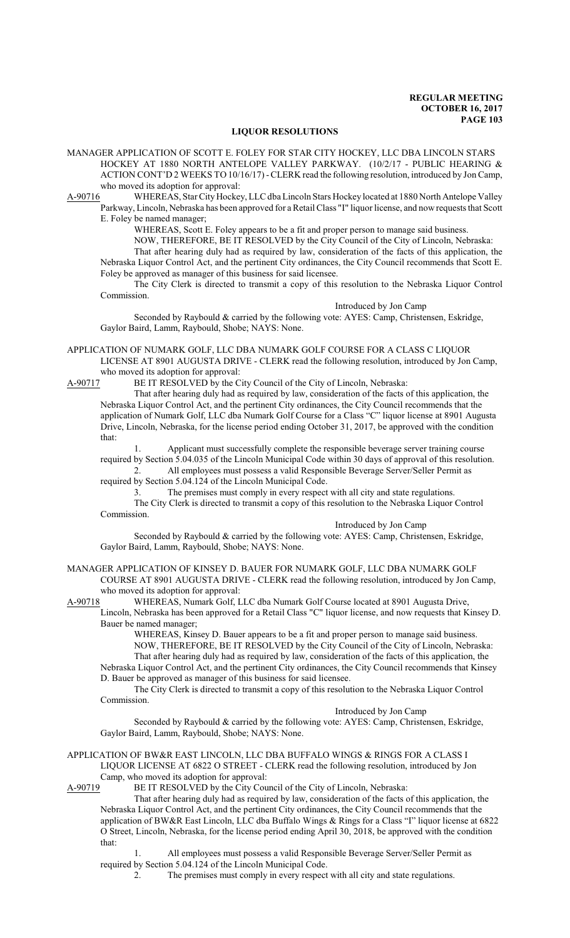#### **LIQUOR RESOLUTIONS**

MANAGER APPLICATION OF SCOTT E. FOLEY FOR STAR CITY HOCKEY, LLC DBA LINCOLN STARS HOCKEY AT 1880 NORTH ANTELOPE VALLEY PARKWAY. (10/2/17 - PUBLIC HEARING & ACTION CONT'D 2 WEEKS TO 10/16/17) -CLERK read the following resolution, introduced by Jon Camp, who moved its adoption for approval:

A-90716 WHEREAS, Star CityHockey, LLC dba Lincoln Stars Hockey located at 1880 North Antelope Valley Parkway, Lincoln, Nebraska has been approved for a Retail Class "I" liquor license, and now requests that Scott E. Foley be named manager;

WHEREAS, Scott E. Foley appears to be a fit and proper person to manage said business.

NOW, THEREFORE, BE IT RESOLVED by the City Council of the City of Lincoln, Nebraska:

That after hearing duly had as required by law, consideration of the facts of this application, the Nebraska Liquor Control Act, and the pertinent City ordinances, the City Council recommends that Scott E. Foley be approved as manager of this business for said licensee.

The City Clerk is directed to transmit a copy of this resolution to the Nebraska Liquor Control Commission.

Introduced by Jon Camp Seconded by Raybould & carried by the following vote: AYES: Camp, Christensen, Eskridge, Gaylor Baird, Lamm, Raybould, Shobe; NAYS: None.

APPLICATION OF NUMARK GOLF, LLC DBA NUMARK GOLF COURSE FOR A CLASS C LIQUOR LICENSE AT 8901 AUGUSTA DRIVE - CLERK read the following resolution, introduced by Jon Camp,

who moved its adoption for approval:<br>A-90717 BE IT RESOLVED by the C BE IT RESOLVED by the City Council of the City of Lincoln, Nebraska:

That after hearing duly had as required by law, consideration of the facts of this application, the Nebraska Liquor Control Act, and the pertinent City ordinances, the City Council recommends that the application of Numark Golf, LLC dba Numark Golf Course for a Class "C" liquor license at 8901 Augusta Drive, Lincoln, Nebraska, for the license period ending October 31, 2017, be approved with the condition that:

Applicant must successfully complete the responsible beverage server training course required by Section 5.04.035 of the Lincoln Municipal Code within 30 days of approval of this resolution. 2. All employees must possess a valid Responsible Beverage Server/Seller Permit as

required by Section 5.04.124 of the Lincoln Municipal Code.

3. The premises must comply in every respect with all city and state regulations.

The City Clerk is directed to transmit a copy of this resolution to the Nebraska Liquor Control Commission.

Introduced by Jon Camp

Seconded by Raybould & carried by the following vote: AYES: Camp, Christensen, Eskridge, Gaylor Baird, Lamm, Raybould, Shobe; NAYS: None.

#### MANAGER APPLICATION OF KINSEY D. BAUER FOR NUMARK GOLF, LLC DBA NUMARK GOLF COURSE AT 8901 AUGUSTA DRIVE - CLERK read the following resolution, introduced by Jon Camp, who moved its adoption for approval:

A-90718 WHEREAS, Numark Golf, LLC dba Numark Golf Course located at 8901 Augusta Drive,

Lincoln, Nebraska has been approved for a Retail Class "C" liquor license, and now requests that Kinsey D. Bauer be named manager;

WHEREAS, Kinsey D. Bauer appears to be a fit and proper person to manage said business. NOW, THEREFORE, BE IT RESOLVED by the City Council of the City of Lincoln, Nebraska: That after hearing duly had as required by law, consideration of the facts of this application, the Nebraska Liquor Control Act, and the pertinent City ordinances, the City Council recommends that Kinsey D. Bauer be approved as manager of this business for said licensee.

The City Clerk is directed to transmit a copy of this resolution to the Nebraska Liquor Control Commission.

Introduced by Jon Camp

Seconded by Raybould & carried by the following vote: AYES: Camp, Christensen, Eskridge, Gaylor Baird, Lamm, Raybould, Shobe; NAYS: None.

#### APPLICATION OF BW&R EAST LINCOLN, LLC DBA BUFFALO WINGS & RINGS FOR A CLASS I LIQUOR LICENSE AT 6822 O STREET - CLERK read the following resolution, introduced by Jon Camp, who moved its adoption for approval:

A-90719 BE IT RESOLVED by the City Council of the City of Lincoln, Nebraska:

That after hearing duly had as required by law, consideration of the facts of this application, the Nebraska Liquor Control Act, and the pertinent City ordinances, the City Council recommends that the application of BW&R East Lincoln, LLC dba Buffalo Wings & Rings for a Class "I" liquor license at 6822 O Street, Lincoln, Nebraska, for the license period ending April 30, 2018, be approved with the condition that:

1. All employees must possess a valid Responsible Beverage Server/Seller Permit as required by Section 5.04.124 of the Lincoln Municipal Code.

2. The premises must comply in every respect with all city and state regulations.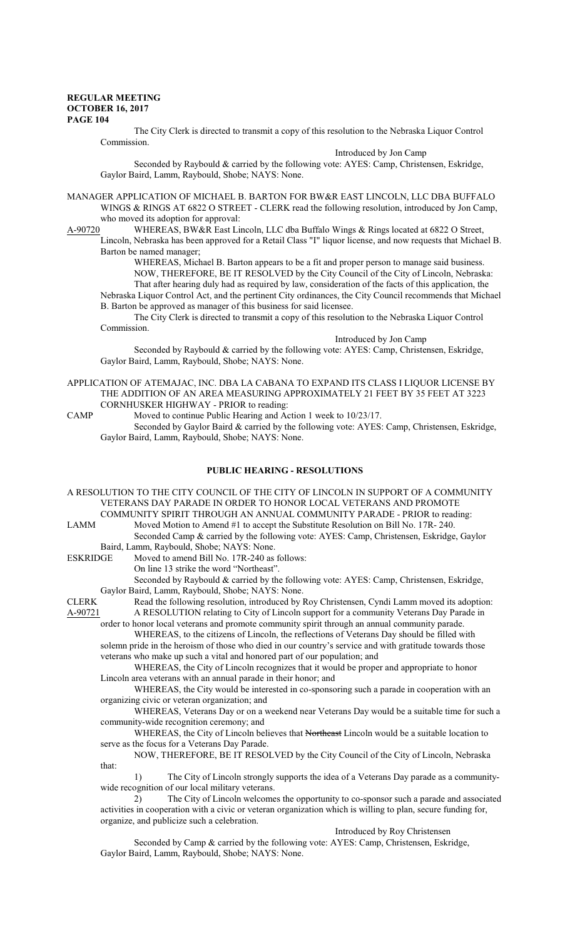The City Clerk is directed to transmit a copy of this resolution to the Nebraska Liquor Control Commission.

Introduced by Jon Camp

Seconded by Raybould & carried by the following vote: AYES: Camp, Christensen, Eskridge, Gaylor Baird, Lamm, Raybould, Shobe; NAYS: None.

MANAGER APPLICATION OF MICHAEL B. BARTON FOR BW&R EAST LINCOLN, LLC DBA BUFFALO WINGS & RINGS AT 6822 O STREET - CLERK read the following resolution, introduced by Jon Camp, who moved its adoption for approval:

A-90720 WHEREAS, BW&R East Lincoln, LLC dba Buffalo Wings & Rings located at 6822 O Street, Lincoln, Nebraska has been approved for a Retail Class "I" liquor license, and now requests that Michael B. Barton be named manager;

WHEREAS, Michael B. Barton appears to be a fit and proper person to manage said business. NOW, THEREFORE, BE IT RESOLVED by the City Council of the City of Lincoln, Nebraska: That after hearing duly had as required by law, consideration of the facts of this application, the Nebraska Liquor Control Act, and the pertinent City ordinances, the City Council recommends that Michael B. Barton be approved as manager of this business for said licensee.

The City Clerk is directed to transmit a copy of this resolution to the Nebraska Liquor Control Commission.

Introduced by Jon Camp

Seconded by Raybould & carried by the following vote: AYES: Camp, Christensen, Eskridge, Gaylor Baird, Lamm, Raybould, Shobe; NAYS: None.

APPLICATION OF ATEMAJAC, INC. DBA LA CABANA TO EXPAND ITS CLASS I LIQUOR LICENSE BY THE ADDITION OF AN AREA MEASURING APPROXIMATELY 21 FEET BY 35 FEET AT 3223 CORNHUSKER HIGHWAY - PRIOR to reading:

CAMP Moved to continue Public Hearing and Action 1 week to 10/23/17.

Seconded by Gaylor Baird & carried by the following vote: AYES: Camp, Christensen, Eskridge, Gaylor Baird, Lamm, Raybould, Shobe; NAYS: None.

#### **PUBLIC HEARING - RESOLUTIONS**

A RESOLUTION TO THE CITY COUNCIL OF THE CITY OF LINCOLN IN SUPPORT OF A COMMUNITY VETERANS DAY PARADE IN ORDER TO HONOR LOCAL VETERANS AND PROMOTE COMMUNITY SPIRIT THROUGH AN ANNUAL COMMUNITY PARADE - PRIOR to reading: LAMM Moved Motion to Amend #1 to accept the Substitute Resolution on Bill No. 17R-240. Seconded Camp & carried by the following vote: AYES: Camp, Christensen, Eskridge, Gaylor Baird, Lamm, Raybould, Shobe; NAYS: None.<br>ESKRIDGE Moved to amend Bill No. 17R-240 as Moved to amend Bill No. 17R-240 as follows: On line 13 strike the word "Northeast". Seconded by Raybould & carried by the following vote: AYES: Camp, Christensen, Eskridge, Gaylor Baird, Lamm, Raybould, Shobe; NAYS: None. CLERK Read the following resolution, introduced by Roy Christensen, Cyndi Lamm moved its adoption: A-90721 A RESOLUTION relating to City of Lincoln support for a community Veterans Day Parade in order to honor local veterans and promote community spirit through an annual community parade. WHEREAS, to the citizens of Lincoln, the reflections of Veterans Day should be filled with solemn pride in the heroism of those who died in our country's service and with gratitude towards those veterans who make up such a vital and honored part of our population; and WHEREAS, the City of Lincoln recognizes that it would be proper and appropriate to honor Lincoln area veterans with an annual parade in their honor; and WHEREAS, the City would be interested in co-sponsoring such a parade in cooperation with an organizing civic or veteran organization; and WHEREAS, Veterans Day or on a weekend near Veterans Day would be a suitable time for such a community-wide recognition ceremony; and WHEREAS, the City of Lincoln believes that Northeast Lincoln would be a suitable location to serve as the focus for a Veterans Day Parade. NOW, THEREFORE, BE IT RESOLVED by the City Council of the City of Lincoln, Nebraska that: 1) The City of Lincoln strongly supports the idea of a Veterans Day parade as a communitywide recognition of our local military veterans. 2) The City of Lincoln welcomes the opportunity to co-sponsor such a parade and associated activities in cooperation with a civic or veteran organization which is willing to plan, secure funding for, organize, and publicize such a celebration. Introduced by Roy Christensen Seconded by Camp & carried by the following vote: AYES: Camp, Christensen, Eskridge, Gaylor Baird, Lamm, Raybould, Shobe; NAYS: None.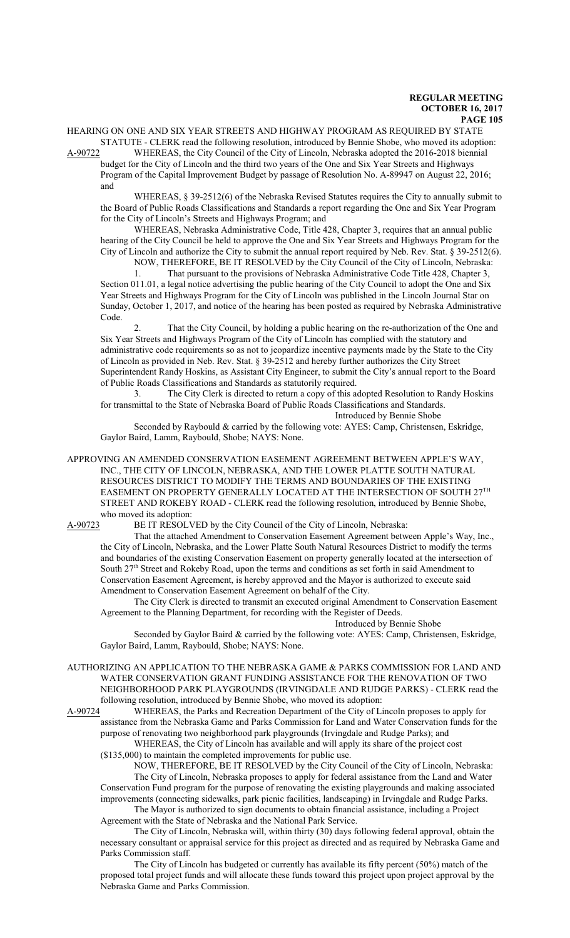HEARING ON ONE AND SIX YEAR STREETS AND HIGHWAY PROGRAM AS REQUIRED BY STATE STATUTE - CLERK read the following resolution, introduced by Bennie Shobe, who moved its adoption:

A-90722 WHEREAS, the City Council of the City of Lincoln, Nebraska adopted the 2016-2018 biennial

budget for the City of Lincoln and the third two years of the One and Six Year Streets and Highways Program of the Capital Improvement Budget by passage of Resolution No. A-89947 on August 22, 2016; and

WHEREAS, § 39-2512(6) of the Nebraska Revised Statutes requires the City to annually submit to the Board of Public Roads Classifications and Standards a report regarding the One and Six Year Program for the City of Lincoln's Streets and Highways Program; and

WHEREAS, Nebraska Administrative Code, Title 428, Chapter 3, requires that an annual public hearing of the City Council be held to approve the One and Six Year Streets and Highways Program for the City of Lincoln and authorize the City to submit the annual report required by Neb. Rev. Stat. § 39-2512(6).

NOW, THEREFORE, BE IT RESOLVED by the City Council of the City of Lincoln, Nebraska: 1. That pursuant to the provisions of Nebraska Administrative Code Title 428, Chapter 3, Section 011.01, a legal notice advertising the public hearing of the City Council to adopt the One and Six Year Streets and Highways Program for the City of Lincoln was published in the Lincoln Journal Star on Sunday, October 1, 2017, and notice of the hearing has been posted as required by Nebraska Administrative Code.

That the City Council, by holding a public hearing on the re-authorization of the One and Six Year Streets and Highways Program of the City of Lincoln has complied with the statutory and administrative code requirements so as not to jeopardize incentive payments made by the State to the City of Lincoln as provided in Neb. Rev. Stat. § 39-2512 and hereby further authorizes the City Street Superintendent Randy Hoskins, as Assistant City Engineer, to submit the City's annual report to the Board of Public Roads Classifications and Standards as statutorily required.

3. The City Clerk is directed to return a copy of this adopted Resolution to Randy Hoskins for transmittal to the State of Nebraska Board of Public Roads Classifications and Standards. Introduced by Bennie Shobe

Seconded by Raybould & carried by the following vote: AYES: Camp, Christensen, Eskridge, Gaylor Baird, Lamm, Raybould, Shobe; NAYS: None.

APPROVING AN AMENDED CONSERVATION EASEMENT AGREEMENT BETWEEN APPLE'S WAY, INC., THE CITY OF LINCOLN, NEBRASKA, AND THE LOWER PLATTE SOUTH NATURAL RESOURCES DISTRICT TO MODIFY THE TERMS AND BOUNDARIES OF THE EXISTING EASEMENT ON PROPERTY GENERALLY LOCATED AT THE INTERSECTION OF SOUTH  $27^{\rm{TH}}$ STREET AND ROKEBY ROAD - CLERK read the following resolution, introduced by Bennie Shobe, who moved its adoption:<br>A-90723 BE IT RESOLV

BE IT RESOLVED by the City Council of the City of Lincoln, Nebraska:

That the attached Amendment to Conservation Easement Agreement between Apple's Way, Inc., the City of Lincoln, Nebraska, and the Lower Platte South Natural Resources District to modify the terms and boundaries of the existing Conservation Easement on property generally located at the intersection of South 27<sup>th</sup> Street and Rokeby Road, upon the terms and conditions as set forth in said Amendment to Conservation Easement Agreement, is hereby approved and the Mayor is authorized to execute said Amendment to Conservation Easement Agreement on behalf of the City.

The City Clerk is directed to transmit an executed original Amendment to Conservation Easement Agreement to the Planning Department, for recording with the Register of Deeds.

# Introduced by Bennie Shobe

Seconded by Gaylor Baird & carried by the following vote: AYES: Camp, Christensen, Eskridge, Gaylor Baird, Lamm, Raybould, Shobe; NAYS: None.

AUTHORIZING AN APPLICATION TO THE NEBRASKA GAME & PARKS COMMISSION FOR LAND AND WATER CONSERVATION GRANT FUNDING ASSISTANCE FOR THE RENOVATION OF TWO NEIGHBORHOOD PARK PLAYGROUNDS (IRVINGDALE AND RUDGE PARKS) - CLERK read the following resolution, introduced by Bennie Shobe, who moved its adoption:

A-90724 WHEREAS, the Parks and Recreation Department of the City of Lincoln proposes to apply for assistance from the Nebraska Game and Parks Commission for Land and Water Conservation funds for the purpose of renovating two neighborhood park playgrounds (Irvingdale and Rudge Parks); and WHEREAS, the City of Lincoln has available and will apply its share of the project cost

(\$135,000) to maintain the completed improvements for public use.

NOW, THEREFORE, BE IT RESOLVED by the City Council of the City of Lincoln, Nebraska: The City of Lincoln, Nebraska proposes to apply for federal assistance from the Land and Water Conservation Fund program for the purpose of renovating the existing playgrounds and making associated improvements (connecting sidewalks, park picnic facilities, landscaping) in Irvingdale and Rudge Parks.

The Mayor is authorized to sign documents to obtain financial assistance, including a Project Agreement with the State of Nebraska and the National Park Service.

The City of Lincoln, Nebraska will, within thirty (30) days following federal approval, obtain the necessary consultant or appraisal service for this project as directed and as required by Nebraska Game and Parks Commission staff.

The City of Lincoln has budgeted or currently has available its fifty percent (50%) match of the proposed total project funds and will allocate these funds toward this project upon project approval by the Nebraska Game and Parks Commission.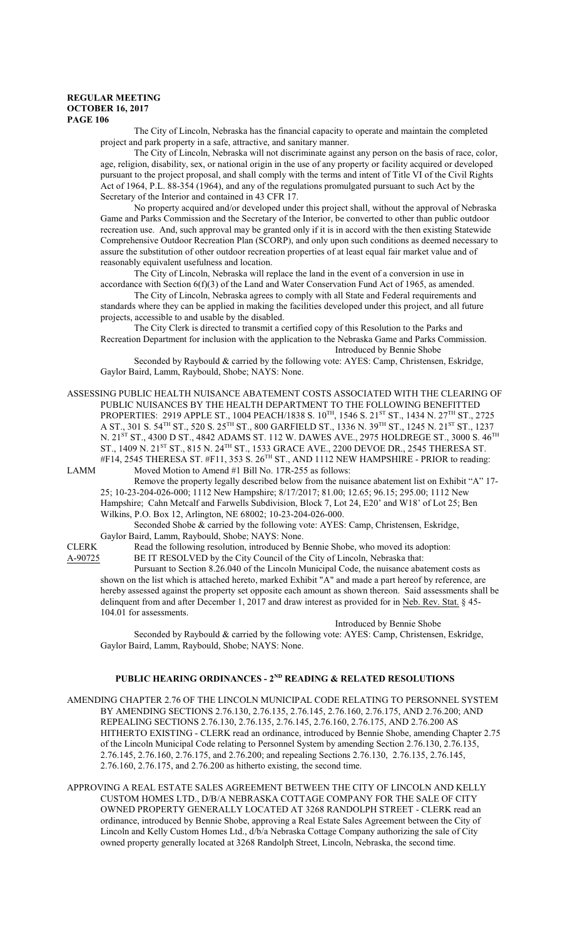The City of Lincoln, Nebraska has the financial capacity to operate and maintain the completed project and park property in a safe, attractive, and sanitary manner.

The City of Lincoln, Nebraska will not discriminate against any person on the basis of race, color, age, religion, disability, sex, or national origin in the use of any property or facility acquired or developed pursuant to the project proposal, and shall comply with the terms and intent of Title VI of the Civil Rights Act of 1964, P.L. 88-354 (1964), and any of the regulations promulgated pursuant to such Act by the Secretary of the Interior and contained in 43 CFR 17.

No property acquired and/or developed under this project shall, without the approval of Nebraska Game and Parks Commission and the Secretary of the Interior, be converted to other than public outdoor recreation use. And, such approval may be granted only if it is in accord with the then existing Statewide Comprehensive Outdoor Recreation Plan (SCORP), and only upon such conditions as deemed necessary to assure the substitution of other outdoor recreation properties of at least equal fair market value and of reasonably equivalent usefulness and location.

The City of Lincoln, Nebraska will replace the land in the event of a conversion in use in accordance with Section 6(f)(3) of the Land and Water Conservation Fund Act of 1965, as amended.

The City of Lincoln, Nebraska agrees to comply with all State and Federal requirements and standards where they can be applied in making the facilities developed under this project, and all future projects, accessible to and usable by the disabled.

The City Clerk is directed to transmit a certified copy of this Resolution to the Parks and Recreation Department for inclusion with the application to the Nebraska Game and Parks Commission. Introduced by Bennie Shobe

Seconded by Raybould & carried by the following vote: AYES: Camp, Christensen, Eskridge, Gaylor Baird, Lamm, Raybould, Shobe; NAYS: None.

ASSESSING PUBLIC HEALTH NUISANCE ABATEMENT COSTS ASSOCIATED WITH THE CLEARING OF PUBLIC NUISANCES BY THE HEALTH DEPARTMENT TO THE FOLLOWING BENEFITTED PROPERTIES: 2919 APPLE ST., 1004 PEACH/1838 S. 10™, 1546 S. 21<sup>st</sup> ST., 1434 N. 27™ ST., 2725 A ST., 301 S. 54 $^{\rm TH}$  ST., 520 S. 25 $^{\rm TH}$  ST., 800 GARFIELD ST., 1336 N. 39 $^{\rm TH}$  ST., 1245 N. 21 $^{\rm ST}$  ST., 1237 N. 21<sup>s</sup>  $^{\text{ST}}$  ST., 4300 D ST., 4842 ADAMS ST. 112 W. DAWES AVE., 2975 HOLDREGE ST., 3000 S. 46 $^{\text{TH}}$ ST., 1409 N. 21<sup>st</sup> ST., 815 N. 24<sup>th</sup> ST., 1533 GRACE AVE., 2200 DEVOE DR., 2545 THERESA ST. #F14, 2545 THERESA ST. #F11, 353 S. 26<sup>TH</sup> ST., AND 1112 NEW HAMPSHIRE - PRIOR to reading: LAMM Moved Motion to Amend #1 Bill No. 17R-255 as follows:

Remove the property legally described below from the nuisance abatement list on Exhibit "A" 17- 25; 10-23-204-026-000; 1112 New Hampshire; 8/17/2017; 81.00; 12.65; 96.15; 295.00; 1112 New Hampshire; Cahn Metcalf and Farwells Subdivision, Block 7, Lot 24, E20' and W18' of Lot 25; Ben Wilkins, P.O. Box 12, Arlington, NE 68002; 10-23-204-026-000.

Seconded Shobe & carried by the following vote: AYES: Camp, Christensen, Eskridge, Gaylor Baird, Lamm, Raybould, Shobe; NAYS: None.

CLERK Read the following resolution, introduced by Bennie Shobe, who moved its adoption:<br>A-90725 BE IT RESOLVED by the City Council of the City of Lincoln, Nebraska that: BE IT RESOLVED by the City Council of the City of Lincoln, Nebraska that:

Pursuant to Section 8.26.040 of the Lincoln Municipal Code, the nuisance abatement costs as shown on the list which is attached hereto, marked Exhibit "A" and made a part hereof by reference, are hereby assessed against the property set opposite each amount as shown thereon. Said assessments shall be delinquent from and after December 1, 2017 and draw interest as provided for in Neb. Rev. Stat. § 45-104.01 for assessments.

#### Introduced by Bennie Shobe

Seconded by Raybould & carried by the following vote: AYES: Camp, Christensen, Eskridge, Gaylor Baird, Lamm, Raybould, Shobe; NAYS: None.

#### **PUBLIC HEARING ORDINANCES - 2ND READING & RELATED RESOLUTIONS**

AMENDING CHAPTER 2.76 OF THE LINCOLN MUNICIPAL CODE RELATING TO PERSONNEL SYSTEM BY AMENDING SECTIONS 2.76.130, 2.76.135, 2.76.145, 2.76.160, 2.76.175, AND 2.76.200; AND REPEALING SECTIONS 2.76.130, 2.76.135, 2.76.145, 2.76.160, 2.76.175, AND 2.76.200 AS HITHERTO EXISTING - CLERK read an ordinance, introduced by Bennie Shobe, amending Chapter 2.75 of the Lincoln Municipal Code relating to Personnel System by amending Section 2.76.130, 2.76.135, 2.76.145, 2.76.160, 2.76.175, and 2.76.200; and repealing Sections 2.76.130, 2.76.135, 2.76.145, 2.76.160, 2.76.175, and 2.76.200 as hitherto existing, the second time.

APPROVING A REAL ESTATE SALES AGREEMENT BETWEEN THE CITY OF LINCOLN AND KELLY CUSTOM HOMES LTD., D/B/A NEBRASKA COTTAGE COMPANY FOR THE SALE OF CITY OWNED PROPERTY GENERALLY LOCATED AT 3268 RANDOLPH STREET - CLERK read an ordinance, introduced by Bennie Shobe, approving a Real Estate Sales Agreement between the City of Lincoln and Kelly Custom Homes Ltd., d/b/a Nebraska Cottage Company authorizing the sale of City owned property generally located at 3268 Randolph Street, Lincoln, Nebraska, the second time.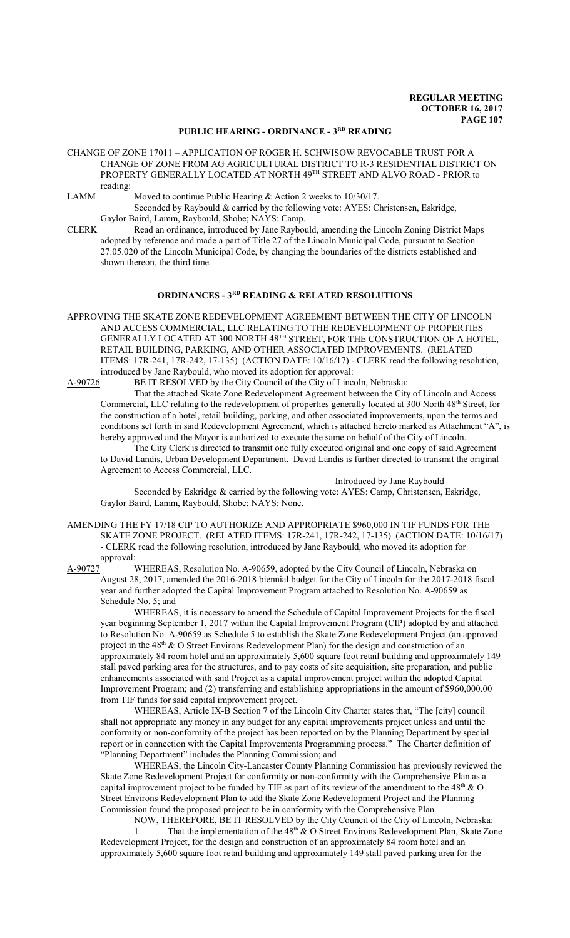### **PUBLIC HEARING - ORDINANCE - 3RD READING**

- CHANGE OF ZONE 17011 APPLICATION OF ROGER H. SCHWISOW REVOCABLE TRUST FOR A CHANGE OF ZONE FROM AG AGRICULTURAL DISTRICT TO R-3 RESIDENTIAL DISTRICT ON PROPERTY GENERALLY LOCATED AT NORTH 49TH STREET AND ALVO ROAD - PRIOR to reading:
- LAMM Moved to continue Public Hearing & Action 2 weeks to 10/30/17.

Seconded by Raybould & carried by the following vote: AYES: Christensen, Eskridge, Gaylor Baird, Lamm, Raybould, Shobe; NAYS: Camp.

CLERK Read an ordinance, introduced by Jane Raybould, amending the Lincoln Zoning District Maps adopted by reference and made a part of Title 27 of the Lincoln Municipal Code, pursuant to Section 27.05.020 of the Lincoln Municipal Code, by changing the boundaries of the districts established and shown thereon, the third time.

## **ORDINANCES - 3RD READING & RELATED RESOLUTIONS**

APPROVING THE SKATE ZONE REDEVELOPMENT AGREEMENT BETWEEN THE CITY OF LINCOLN AND ACCESS COMMERCIAL, LLC RELATING TO THE REDEVELOPMENT OF PROPERTIES GENERALLY LOCATED AT 300 NORTH 48 $^{\text{\tiny{\textsf{TH}}}}$  STREET, FOR THE CONSTRUCTION OF A HOTEL, RETAIL BUILDING, PARKING, AND OTHER ASSOCIATED IMPROVEMENTS. (RELATED ITEMS: 17R-241, 17R-242, 17-135) (ACTION DATE: 10/16/17) - CLERK read the following resolution, introduced by Jane Raybould, who moved its adoption for approval:

A-90726 BE IT RESOLVED by the City Council of the City of Lincoln, Nebraska:

That the attached Skate Zone Redevelopment Agreement between the City of Lincoln and Access Commercial, LLC relating to the redevelopment of properties generally located at 300 North 48<sup>th</sup> Street, for the construction of a hotel, retail building, parking, and other associated improvements, upon the terms and conditions set forth in said Redevelopment Agreement, which is attached hereto marked as Attachment "A", is hereby approved and the Mayor is authorized to execute the same on behalf of the City of Lincoln.

The City Clerk is directed to transmit one fully executed original and one copy of said Agreement to David Landis, Urban Development Department. David Landis is further directed to transmit the original Agreement to Access Commercial, LLC.

Introduced by Jane Raybould Seconded by Eskridge & carried by the following vote: AYES: Camp, Christensen, Eskridge, Gaylor Baird, Lamm, Raybould, Shobe; NAYS: None.

AMENDING THE FY 17/18 CIP TO AUTHORIZE AND APPROPRIATE \$960,000 IN TIF FUNDS FOR THE SKATE ZONE PROJECT. (RELATED ITEMS: 17R-241, 17R-242, 17-135) (ACTION DATE: 10/16/17) - CLERK read the following resolution, introduced by Jane Raybould, who moved its adoption for approval:

A-90727 WHEREAS, Resolution No. A-90659, adopted by the City Council of Lincoln, Nebraska on August 28, 2017, amended the 2016-2018 biennial budget for the City of Lincoln for the 2017-2018 fiscal year and further adopted the Capital Improvement Program attached to Resolution No. A-90659 as Schedule No. 5; and

WHEREAS, it is necessary to amend the Schedule of Capital Improvement Projects for the fiscal year beginning September 1, 2017 within the Capital Improvement Program (CIP) adopted by and attached to Resolution No. A-90659 as Schedule 5 to establish the Skate Zone Redevelopment Project (an approved project in the 48<sup>th</sup> & O Street Environs Redevelopment Plan) for the design and construction of an approximately 84 room hotel and an approximately 5,600 square foot retail building and approximately 149 stall paved parking area for the structures, and to pay costs of site acquisition, site preparation, and public enhancements associated with said Project as a capital improvement project within the adopted Capital Improvement Program; and (2) transferring and establishing appropriations in the amount of \$960,000.00 from TIF funds for said capital improvement project.

WHEREAS, Article IX-B Section 7 of the Lincoln City Charter states that, "The [city] council shall not appropriate any money in any budget for any capital improvements project unless and until the conformity or non-conformity of the project has been reported on by the Planning Department by special report or in connection with the Capital Improvements Programming process." The Charter definition of "Planning Department" includes the Planning Commission; and

WHEREAS, the Lincoln City-Lancaster County Planning Commission has previously reviewed the Skate Zone Redevelopment Project for conformity or non-conformity with the Comprehensive Plan as a capital improvement project to be funded by TIF as part of its review of the amendment to the 48<sup>th</sup>  $\&$  O Street Environs Redevelopment Plan to add the Skate Zone Redevelopment Project and the Planning Commission found the proposed project to be in conformity with the Comprehensive Plan.

NOW, THEREFORE, BE IT RESOLVED by the City Council of the City of Lincoln, Nebraska:

1. That the implementation of the 48<sup>th</sup> & O Street Environs Redevelopment Plan, Skate Zone Redevelopment Project, for the design and construction of an approximately 84 room hotel and an approximately 5,600 square foot retail building and approximately 149 stall paved parking area for the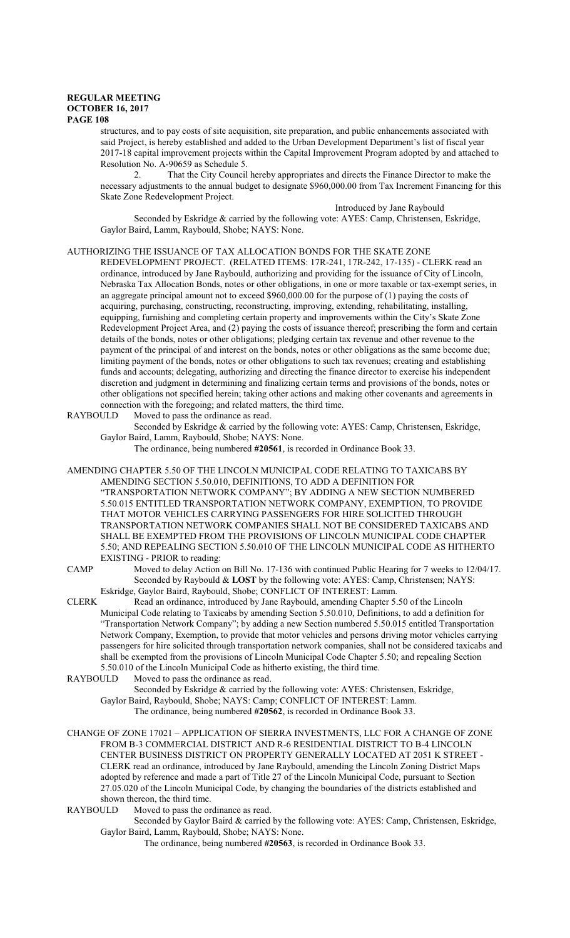structures, and to pay costs of site acquisition, site preparation, and public enhancements associated with said Project, is hereby established and added to the Urban Development Department's list of fiscal year 2017-18 capital improvement projects within the Capital Improvement Program adopted by and attached to Resolution No. A-90659 as Schedule 5.

That the City Council hereby appropriates and directs the Finance Director to make the necessary adjustments to the annual budget to designate \$960,000.00 from Tax Increment Financing for this Skate Zone Redevelopment Project.

Introduced by Jane Raybould

Seconded by Eskridge & carried by the following vote: AYES: Camp, Christensen, Eskridge, Gaylor Baird, Lamm, Raybould, Shobe; NAYS: None.

AUTHORIZING THE ISSUANCE OF TAX ALLOCATION BONDS FOR THE SKATE ZONE

REDEVELOPMENT PROJECT. (RELATED ITEMS: 17R-241, 17R-242, 17-135) - CLERK read an ordinance, introduced by Jane Raybould, authorizing and providing for the issuance of City of Lincoln, Nebraska Tax Allocation Bonds, notes or other obligations, in one or more taxable or tax-exempt series, in an aggregate principal amount not to exceed \$960,000.00 for the purpose of (1) paying the costs of acquiring, purchasing, constructing, reconstructing, improving, extending, rehabilitating, installing, equipping, furnishing and completing certain property and improvements within the City's Skate Zone Redevelopment Project Area, and (2) paying the costs of issuance thereof; prescribing the form and certain details of the bonds, notes or other obligations; pledging certain tax revenue and other revenue to the payment of the principal of and interest on the bonds, notes or other obligations as the same become due; limiting payment of the bonds, notes or other obligations to such tax revenues; creating and establishing funds and accounts; delegating, authorizing and directing the finance director to exercise his independent discretion and judgment in determining and finalizing certain terms and provisions of the bonds, notes or other obligations not specified herein; taking other actions and making other covenants and agreements in connection with the foregoing; and related matters, the third time.

RAYBOULD Moved to pass the ordinance as read.

Seconded by Eskridge & carried by the following vote: AYES: Camp, Christensen, Eskridge, Gaylor Baird, Lamm, Raybould, Shobe; NAYS: None.

The ordinance, being numbered **#20561**, is recorded in Ordinance Book 33.

AMENDING CHAPTER 5.50 OF THE LINCOLN MUNICIPAL CODE RELATING TO TAXICABS BY AMENDING SECTION 5.50.010, DEFINITIONS, TO ADD A DEFINITION FOR "TRANSPORTATION NETWORK COMPANY"; BY ADDING A NEW SECTION NUMBERED 5.50.015 ENTITLED TRANSPORTATION NETWORK COMPANY, EXEMPTION, TO PROVIDE THAT MOTOR VEHICLES CARRYING PASSENGERS FOR HIRE SOLICITED THROUGH TRANSPORTATION NETWORK COMPANIES SHALL NOT BE CONSIDERED TAXICABS AND SHALL BE EXEMPTED FROM THE PROVISIONS OF LINCOLN MUNICIPAL CODE CHAPTER 5.50; AND REPEALING SECTION 5.50.010 OF THE LINCOLN MUNICIPAL CODE AS HITHERTO EXISTING - PRIOR to reading:

CAMP Moved to delay Action on Bill No. 17-136 with continued Public Hearing for 7 weeks to 12/04/17. Seconded by Raybould & **LOST** by the following vote: AYES: Camp, Christensen; NAYS: Eskridge, Gaylor Baird, Raybould, Shobe; CONFLICT OF INTEREST: Lamm.

CLERK Read an ordinance, introduced by Jane Raybould, amending Chapter 5.50 of the Lincoln Municipal Code relating to Taxicabs by amending Section 5.50.010, Definitions, to add a definition for "Transportation Network Company"; by adding a new Section numbered 5.50.015 entitled Transportation Network Company, Exemption, to provide that motor vehicles and persons driving motor vehicles carrying passengers for hire solicited through transportation network companies, shall not be considered taxicabs and shall be exempted from the provisions of Lincoln Municipal Code Chapter 5.50; and repealing Section 5.50.010 of the Lincoln Municipal Code as hitherto existing, the third time.<br>RAYBOULD Moved to pass the ordinance as read.

Moved to pass the ordinance as read.

Seconded by Eskridge & carried by the following vote: AYES: Christensen, Eskridge, Gaylor Baird, Raybould, Shobe; NAYS: Camp; CONFLICT OF INTEREST: Lamm.

The ordinance, being numbered **#20562**, is recorded in Ordinance Book 33.

CHANGE OF ZONE 17021 – APPLICATION OF SIERRA INVESTMENTS, LLC FOR A CHANGE OF ZONE FROM B-3 COMMERCIAL DISTRICT AND R-6 RESIDENTIAL DISTRICT TO B-4 LINCOLN CENTER BUSINESS DISTRICT ON PROPERTY GENERALLY LOCATED AT 2051 K STREET - CLERK read an ordinance, introduced by Jane Raybould, amending the Lincoln Zoning District Maps adopted by reference and made a part of Title 27 of the Lincoln Municipal Code, pursuant to Section 27.05.020 of the Lincoln Municipal Code, by changing the boundaries of the districts established and shown thereon, the third time.

RAYBOULD Moved to pass the ordinance as read.

Seconded by Gaylor Baird & carried by the following vote: AYES: Camp, Christensen, Eskridge, Gaylor Baird, Lamm, Raybould, Shobe; NAYS: None.

The ordinance, being numbered **#20563**, is recorded in Ordinance Book 33.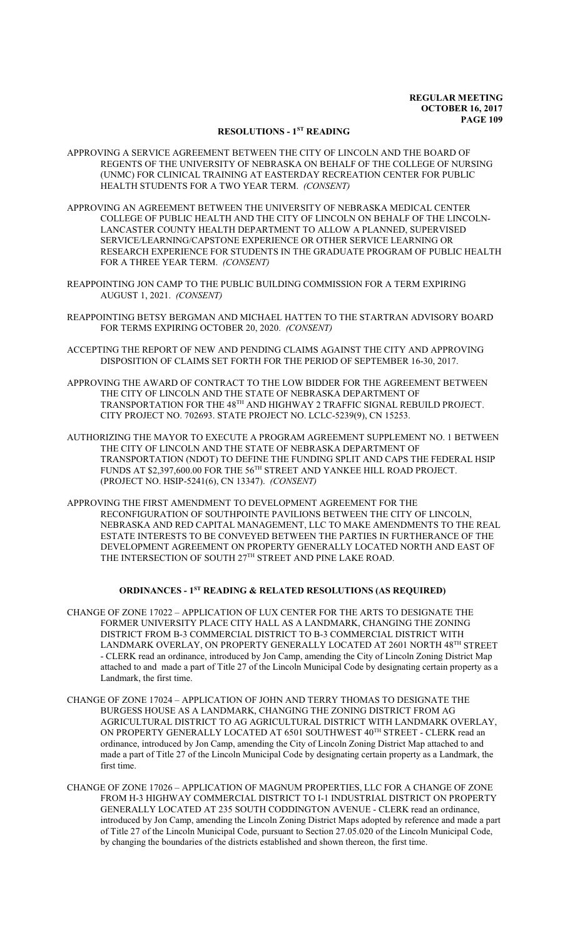#### **RESOLUTIONS - 1ST READING**

- APPROVING A SERVICE AGREEMENT BETWEEN THE CITY OF LINCOLN AND THE BOARD OF REGENTS OF THE UNIVERSITY OF NEBRASKA ON BEHALF OF THE COLLEGE OF NURSING (UNMC) FOR CLINICAL TRAINING AT EASTERDAY RECREATION CENTER FOR PUBLIC HEALTH STUDENTS FOR A TWO YEAR TERM. *(CONSENT)*
- APPROVING AN AGREEMENT BETWEEN THE UNIVERSITY OF NEBRASKA MEDICAL CENTER COLLEGE OF PUBLIC HEALTH AND THE CITY OF LINCOLN ON BEHALF OF THE LINCOLN-LANCASTER COUNTY HEALTH DEPARTMENT TO ALLOW A PLANNED, SUPERVISED SERVICE/LEARNING/CAPSTONE EXPERIENCE OR OTHER SERVICE LEARNING OR RESEARCH EXPERIENCE FOR STUDENTS IN THE GRADUATE PROGRAM OF PUBLIC HEALTH FOR A THREE YEAR TERM. *(CONSENT)*
- REAPPOINTING JON CAMP TO THE PUBLIC BUILDING COMMISSION FOR A TERM EXPIRING AUGUST 1, 2021. *(CONSENT)*
- REAPPOINTING BETSY BERGMAN AND MICHAEL HATTEN TO THE STARTRAN ADVISORY BOARD FOR TERMS EXPIRING OCTOBER 20, 2020. *(CONSENT)*
- ACCEPTING THE REPORT OF NEW AND PENDING CLAIMS AGAINST THE CITY AND APPROVING DISPOSITION OF CLAIMS SET FORTH FOR THE PERIOD OF SEPTEMBER 16-30, 2017.
- APPROVING THE AWARD OF CONTRACT TO THE LOW BIDDER FOR THE AGREEMENT BETWEEN THE CITY OF LINCOLN AND THE STATE OF NEBRASKA DEPARTMENT OF TRANSPORTATION FOR THE  $48^{\text{\tiny{TH}}}$  AND HIGHWAY 2 TRAFFIC SIGNAL REBUILD PROJECT. CITY PROJECT NO. 702693. STATE PROJECT NO. LCLC-5239(9), CN 15253.
- AUTHORIZING THE MAYOR TO EXECUTE A PROGRAM AGREEMENT SUPPLEMENT NO. 1 BETWEEN THE CITY OF LINCOLN AND THE STATE OF NEBRASKA DEPARTMENT OF TRANSPORTATION (NDOT) TO DEFINE THE FUNDING SPLIT AND CAPS THE FEDERAL HSIP FUNDS AT \$2,397,600.00 FOR THE  $56^{\text{TH}}$  STREET AND YANKEE HILL ROAD PROJECT. (PROJECT NO. HSIP-5241(6), CN 13347). *(CONSENT)*
- APPROVING THE FIRST AMENDMENT TO DEVELOPMENT AGREEMENT FOR THE RECONFIGURATION OF SOUTHPOINTE PAVILIONS BETWEEN THE CITY OF LINCOLN, NEBRASKA AND RED CAPITAL MANAGEMENT, LLC TO MAKE AMENDMENTS TO THE REAL ESTATE INTERESTS TO BE CONVEYED BETWEEN THE PARTIES IN FURTHERANCE OF THE DEVELOPMENT AGREEMENT ON PROPERTY GENERALLY LOCATED NORTH AND EAST OF THE INTERSECTION OF SOUTH  $27^{\text{\tiny{TH}}}$  STREET AND PINE LAKE ROAD.

### **ORDINANCES - 1ST READING & RELATED RESOLUTIONS (AS REQUIRED)**

- CHANGE OF ZONE 17022 APPLICATION OF LUX CENTER FOR THE ARTS TO DESIGNATE THE FORMER UNIVERSITY PLACE CITY HALL AS A LANDMARK, CHANGING THE ZONING DISTRICT FROM B-3 COMMERCIAL DISTRICT TO B-3 COMMERCIAL DISTRICT WITH LANDMARK OVERLAY, ON PROPERTY GENERALLY LOCATED AT 2601 NORTH 48<sup>th</sup> STREET - CLERK read an ordinance, introduced by Jon Camp, amending the City of Lincoln Zoning District Map attached to and made a part of Title 27 of the Lincoln Municipal Code by designating certain property as a Landmark, the first time.
- CHANGE OF ZONE 17024 APPLICATION OF JOHN AND TERRY THOMAS TO DESIGNATE THE BURGESS HOUSE AS A LANDMARK, CHANGING THE ZONING DISTRICT FROM AG AGRICULTURAL DISTRICT TO AG AGRICULTURAL DISTRICT WITH LANDMARK OVERLAY, ON PROPERTY GENERALLY LOCATED AT 6501 SOUTHWEST 40<sup>th</sup> STREET - CLERK read an ordinance, introduced by Jon Camp, amending the City of Lincoln Zoning District Map attached to and made a part of Title 27 of the Lincoln Municipal Code by designating certain property as a Landmark, the first time.
- CHANGE OF ZONE 17026 APPLICATION OF MAGNUM PROPERTIES, LLC FOR A CHANGE OF ZONE FROM H-3 HIGHWAY COMMERCIAL DISTRICT TO I-1 INDUSTRIAL DISTRICT ON PROPERTY GENERALLY LOCATED AT 235 SOUTH CODDINGTON AVENUE - CLERK read an ordinance, introduced by Jon Camp, amending the Lincoln Zoning District Maps adopted by reference and made a part of Title 27 of the Lincoln Municipal Code, pursuant to Section 27.05.020 of the Lincoln Municipal Code, by changing the boundaries of the districts established and shown thereon, the first time.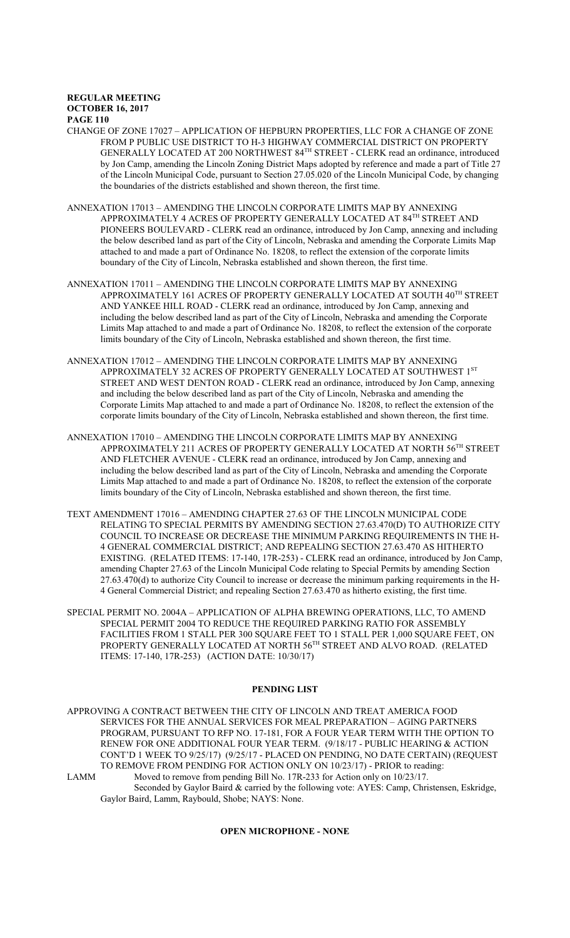- CHANGE OF ZONE 17027 APPLICATION OF HEPBURN PROPERTIES, LLC FOR A CHANGE OF ZONE FROM P PUBLIC USE DISTRICT TO H-3 HIGHWAY COMMERCIAL DISTRICT ON PROPERTY GENERALLY LOCATED AT 200 NORTHWEST 84<sup>TH</sup> STREET - CLERK read an ordinance, introduced by Jon Camp, amending the Lincoln Zoning District Maps adopted by reference and made a part of Title 27 of the Lincoln Municipal Code, pursuant to Section 27.05.020 of the Lincoln Municipal Code, by changing the boundaries of the districts established and shown thereon, the first time.
- ANNEXATION 17013 AMENDING THE LINCOLN CORPORATE LIMITS MAP BY ANNEXING APPROXIMATELY 4 ACRES OF PROPERTY GENERALLY LOCATED AT  $84^{\text{\tiny{TH}}}$  STREET AND PIONEERS BOULEVARD - CLERK read an ordinance, introduced by Jon Camp, annexing and including the below described land as part of the City of Lincoln, Nebraska and amending the Corporate Limits Map attached to and made a part of Ordinance No. 18208, to reflect the extension of the corporate limits boundary of the City of Lincoln, Nebraska established and shown thereon, the first time.
- ANNEXATION 17011 AMENDING THE LINCOLN CORPORATE LIMITS MAP BY ANNEXING APPROXIMATELY 161 ACRES OF PROPERTY GENERALLY LOCATED AT SOUTH  $40^{\text{\tiny{TH}}}$  STREET AND YANKEE HILL ROAD - CLERK read an ordinance, introduced by Jon Camp, annexing and including the below described land as part of the City of Lincoln, Nebraska and amending the Corporate Limits Map attached to and made a part of Ordinance No. 18208, to reflect the extension of the corporate limits boundary of the City of Lincoln, Nebraska established and shown thereon, the first time.
- ANNEXATION 17012 AMENDING THE LINCOLN CORPORATE LIMITS MAP BY ANNEXING APPROXIMATELY 32 ACRES OF PROPERTY GENERALLY LOCATED AT SOUTHWEST  $1^{\mathrm{ST}}$ STREET AND WEST DENTON ROAD - CLERK read an ordinance, introduced by Jon Camp, annexing and including the below described land as part of the City of Lincoln, Nebraska and amending the Corporate Limits Map attached to and made a part of Ordinance No. 18208, to reflect the extension of the corporate limits boundary of the City of Lincoln, Nebraska established and shown thereon, the first time.
- ANNEXATION 17010 AMENDING THE LINCOLN CORPORATE LIMITS MAP BY ANNEXING APPROXIMATELY 211 ACRES OF PROPERTY GENERALLY LOCATED AT NORTH 56<sup>th</sup> STREET AND FLETCHER AVENUE - CLERK read an ordinance, introduced by Jon Camp, annexing and including the below described land as part of the City of Lincoln, Nebraska and amending the Corporate Limits Map attached to and made a part of Ordinance No. 18208, to reflect the extension of the corporate limits boundary of the City of Lincoln, Nebraska established and shown thereon, the first time.
- TEXT AMENDMENT 17016 AMENDING CHAPTER 27.63 OF THE LINCOLN MUNICIPAL CODE RELATING TO SPECIAL PERMITS BY AMENDING SECTION 27.63.470(D) TO AUTHORIZE CITY COUNCIL TO INCREASE OR DECREASE THE MINIMUM PARKING REQUIREMENTS IN THE H-4 GENERAL COMMERCIAL DISTRICT; AND REPEALING SECTION 27.63.470 AS HITHERTO EXISTING. (RELATED ITEMS: 17-140, 17R-253) - CLERK read an ordinance, introduced by Jon Camp, amending Chapter 27.63 of the Lincoln Municipal Code relating to Special Permits by amending Section 27.63.470(d) to authorize City Council to increase or decrease the minimum parking requirements in the H-4 General Commercial District; and repealing Section 27.63.470 as hitherto existing, the first time.
- SPECIAL PERMIT NO. 2004A APPLICATION OF ALPHA BREWING OPERATIONS, LLC, TO AMEND SPECIAL PERMIT 2004 TO REDUCE THE REQUIRED PARKING RATIO FOR ASSEMBLY FACILITIES FROM 1 STALL PER 300 SQUARE FEET TO 1 STALL PER 1,000 SQUARE FEET, ON PROPERTY GENERALLY LOCATED AT NORTH 56<sup>th</sup> STREET AND ALVO ROAD. (RELATED ITEMS: 17-140, 17R-253) (ACTION DATE: 10/30/17)

### **PENDING LIST**

- APPROVING A CONTRACT BETWEEN THE CITY OF LINCOLN AND TREAT AMERICA FOOD SERVICES FOR THE ANNUAL SERVICES FOR MEAL PREPARATION – AGING PARTNERS PROGRAM, PURSUANT TO RFP NO. 17-181, FOR A FOUR YEAR TERM WITH THE OPTION TO RENEW FOR ONE ADDITIONAL FOUR YEAR TERM. (9/18/17 - PUBLIC HEARING & ACTION CONT'D 1 WEEK TO 9/25/17) (9/25/17 - PLACED ON PENDING, NO DATE CERTAIN) (REQUEST TO REMOVE FROM PENDING FOR ACTION ONLY ON 10/23/17) - PRIOR to reading:
- LAMM Moved to remove from pending Bill No. 17R-233 for Action only on 10/23/17. Seconded by Gaylor Baird & carried by the following vote: AYES: Camp, Christensen, Eskridge, Gaylor Baird, Lamm, Raybould, Shobe; NAYS: None.

### **OPEN MICROPHONE - NONE**